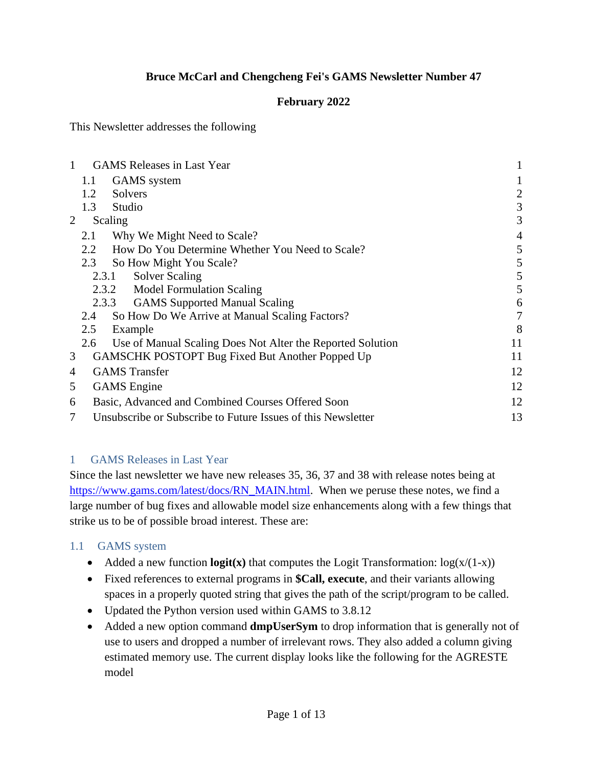### **Bruce McCarl and Chengcheng Fei's GAMS Newsletter Number 47**

### **February 2022**

This Newsletter addresses the following

| $\mathbf{1}$ |     | <b>GAMS</b> Releases in Last Year                            | 1              |
|--------------|-----|--------------------------------------------------------------|----------------|
|              | 1.1 | <b>GAMS</b> system                                           |                |
|              | 1.2 | Solvers                                                      | 2              |
|              | 1.3 | Studio                                                       | 3              |
| 2            |     | Scaling                                                      | 3              |
|              | 2.1 | Why We Might Need to Scale?                                  | $\overline{4}$ |
|              | 2.2 | How Do You Determine Whether You Need to Scale?              | 5              |
|              | 2.3 | So How Might You Scale?                                      | 5              |
|              |     | <b>Solver Scaling</b><br>2.3.1                               | 5              |
|              |     | 2.3.2 Model Formulation Scaling                              | 5              |
|              |     | 2.3.3 GAMS Supported Manual Scaling                          | 6              |
|              | 2.4 | So How Do We Arrive at Manual Scaling Factors?               | 7              |
|              | 2.5 | Example                                                      | 8              |
|              | 2.6 | Use of Manual Scaling Does Not Alter the Reported Solution   | 11             |
| 3            |     | <b>GAMSCHK POSTOPT Bug Fixed But Another Popped Up</b>       | 11             |
| 4            |     | <b>GAMS</b> Transfer                                         | 12             |
| 5            |     | <b>GAMS</b> Engine                                           | 12             |
| 6            |     | Basic, Advanced and Combined Courses Offered Soon            | 12             |
| 7            |     | Unsubscribe or Subscribe to Future Issues of this Newsletter | 13             |

#### <span id="page-0-0"></span>1 GAMS Releases in Last Year

Since the last newsletter we have new releases 35, 36, 37 and 38 with release notes being at [https://www.gams.com/latest/docs/RN\\_MAIN.html.](https://www.gams.com/latest/docs/RN_MAIN.html) When we peruse these notes, we find a large number of bug fixes and allowable model size enhancements along with a few things that strike us to be of possible broad interest. These are:

## <span id="page-0-1"></span>1.1 GAMS system

- Added a new function  $logit(x)$  that computes the Logit Transformation:  $log(x/(1-x))$
- Fixed references to external programs in **\$Call, execute**, and their variants allowing spaces in a properly quoted string that gives the path of the script/program to be called.
- Updated the Python version used within GAMS to 3.8.12
- Added a new option command **dmpUserSym** to drop information that is generally not of use to users and dropped a number of irrelevant rows. They also added a column giving estimated memory use. The current display looks like the following for the AGRESTE model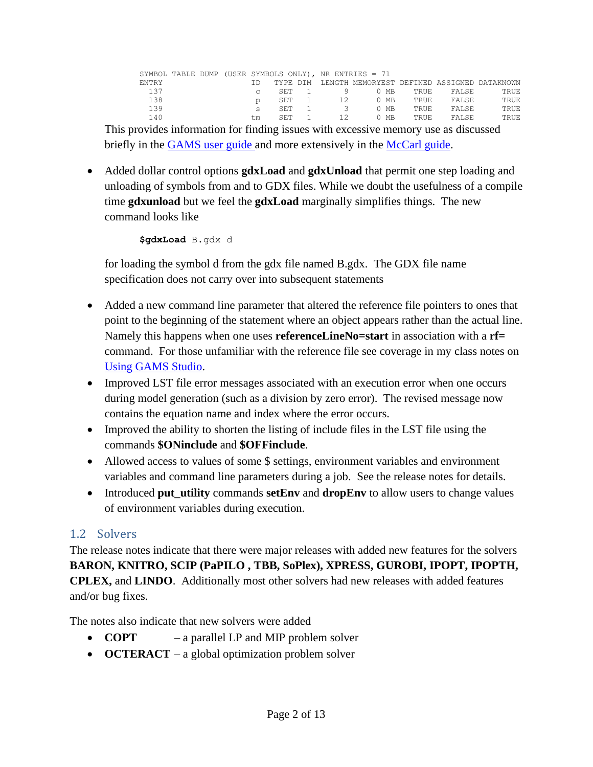|              |  |           |      |       | SYMBOL TABLE DUMP (USER SYMBOLS ONLY), NR ENTRIES = 71 |        |             |        |                                                      |
|--------------|--|-----------|------|-------|--------------------------------------------------------|--------|-------------|--------|------------------------------------------------------|
| <b>ENTRY</b> |  |           |      |       |                                                        |        |             |        | TYPE DIM LENGTH MEMORYEST DEFINED ASSIGNED DATAKNOWN |
| 137          |  | $\subset$ |      | SET 1 |                                                        | 0 MB   | TRUE.       | FALSE. | <b>TRUE</b>                                          |
| 138          |  |           |      | SET 1 | 12                                                     | 0 MB   | <b>TRUE</b> | FALSE  | <b>TRUE</b>                                          |
| 139          |  | s         | SET. |       | $\mathcal{R}$                                          | $0$ MB | TRUE.       | FALSE  | <b>TRUE</b>                                          |
| 140          |  | t.m       | SET  |       | 12                                                     | 0 MB   | TRUE.       | FALSE  | <b>TRUE</b>                                          |

This provides information for finding issues with excessive memory use as discussed briefly in the [GAMS user guide a](https://www.gams.com/38/docs/UG_ExecErrPerformance.html#UG_ExecErrPerformance_ReducingMemoryUse)nd more extensively in the [McCarl guide.](https://www.gams.com/mccarlGuide/memory_use_dumps_dmpsym.htm?zoom_highlightsub=dmpsym)

• Added dollar control options **gdxLoad** and **gdxUnload** that permit one step loading and unloading of symbols from and to GDX files. While we doubt the usefulness of a compile time **gdxunload** but we feel the **gdxLoad** marginally simplifies things. The new command looks like

```
$gdxLoad B.gdx d
```
for loading the symbol d from the gdx file named B.gdx. The GDX file name specification does not carry over into subsequent statements

- Added a new command line parameter that altered the reference file pointers to ones that point to the beginning of the statement where an object appears rather than the actual line. Namely this happens when one uses **referenceLineNo=start** in association with a **rf=** command. For those unfamiliar with the reference file see coverage in my class notes on [Using GAMS Studio.](https://www.gams.com/38/docs/UG_studio_tutorial.html#ST_UsingREF)
- Improved LST file error messages associated with an execution error when one occurs during model generation (such as a division by zero error). The revised message now contains the equation name and index where the error occurs.
- Improved the ability to shorten the listing of include files in the LST file using the commands **\$ONinclude** and **\$OFFinclude**.
- Allowed access to values of some \$ settings, environment variables and environment variables and command line parameters during a job. See the release notes for details.
- Introduced **put utility** commands **setEnv** and **dropEnv** to allow users to change values of environment variables during execution.

## <span id="page-1-0"></span>1.2 Solvers

The release notes indicate that there were major releases with added new features for the solvers **BARON, KNITRO, SCIP (PaPILO , TBB, SoPlex), XPRESS, GUROBI, IPOPT, IPOPTH, CPLEX,** and **LINDO**. Additionally most other solvers had new releases with added features and/or bug fixes.

The notes also indicate that new solvers were added

- **COPT** a parallel LP and MIP problem solver
- **OCTERACT** a global optimization problem solver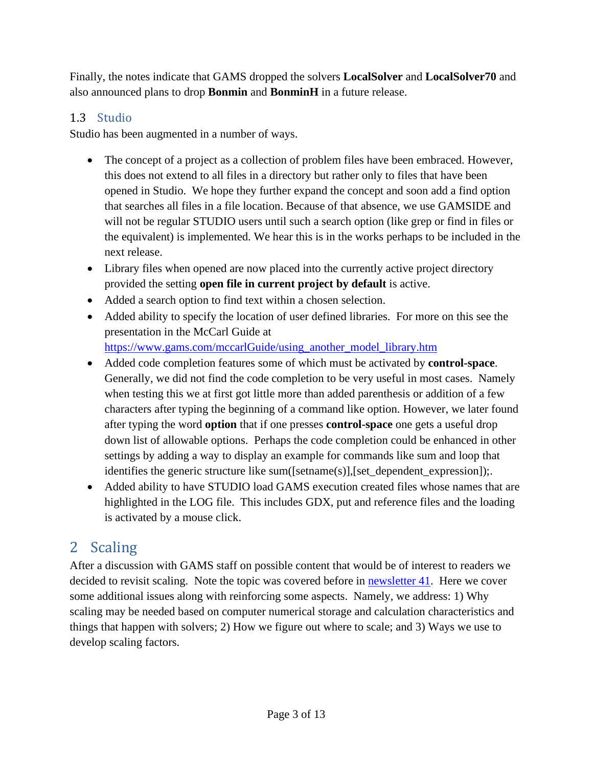Finally, the notes indicate that GAMS dropped the solvers **LocalSolver** and **LocalSolver70** and also announced plans to drop **Bonmin** and **BonminH** in a future release.

## <span id="page-2-0"></span>1.3 Studio

Studio has been augmented in a number of ways.

- The concept of a project as a collection of problem files have been embraced. However, this does not extend to all files in a directory but rather only to files that have been opened in Studio. We hope they further expand the concept and soon add a find option that searches all files in a file location. Because of that absence, we use GAMSIDE and will not be regular STUDIO users until such a search option (like grep or find in files or the equivalent) is implemented. We hear this is in the works perhaps to be included in the next release.
- Library files when opened are now placed into the currently active project directory provided the setting **open file in current project by default** is active.
- Added a search option to find text within a chosen selection.
- Added ability to specify the location of user defined libraries. For more on this see the presentation in the McCarl Guide at [https://www.gams.com/mccarlGuide/using\\_another\\_model\\_library.htm](https://www.gams.com/mccarlGuide/using_another_model_library.htm)
- Added code completion features some of which must be activated by **control-space**. Generally, we did not find the code completion to be very useful in most cases. Namely when testing this we at first got little more than added parenthesis or addition of a few characters after typing the beginning of a command like option. However, we later found after typing the word **option** that if one presses **control-space** one gets a useful drop down list of allowable options. Perhaps the code completion could be enhanced in other settings by adding a way to display an example for commands like sum and loop that identifies the generic structure like sum([setname(s)],[set\_dependent\_expression]);.
- Added ability to have STUDIO load GAMS execution created files whose names that are highlighted in the LOG file. This includes GDX, put and reference files and the loading is activated by a mouse click.

# <span id="page-2-1"></span>2 Scaling

After a discussion with GAMS staff on possible content that would be of interest to readers we decided to revisit scaling. Note the topic was covered before in [newsletter 41.](https://www.gams.com/newsletter/mccarl/archive/mccarl_newsletter_no_41.pdf) Here we cover some additional issues along with reinforcing some aspects. Namely, we address: 1) Why scaling may be needed based on computer numerical storage and calculation characteristics and things that happen with solvers; 2) How we figure out where to scale; and 3) Ways we use to develop scaling factors.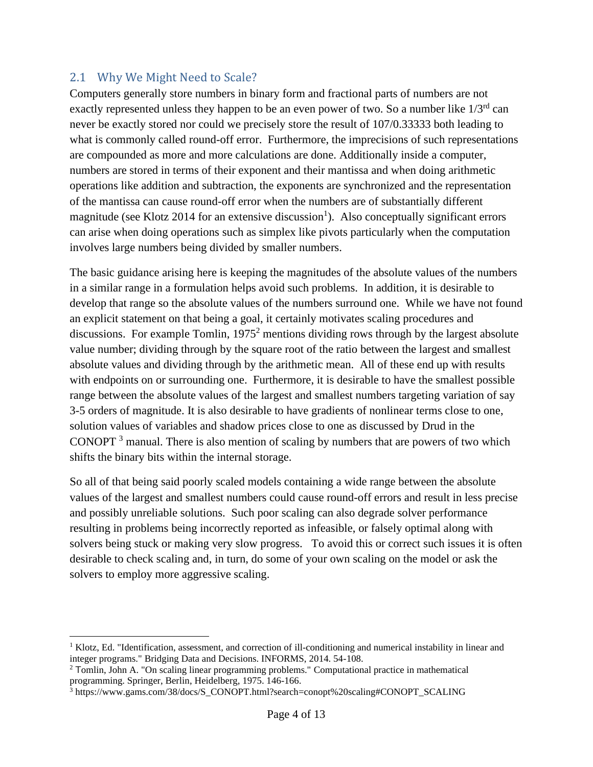### <span id="page-3-0"></span>2.1 Why We Might Need to Scale?

Computers generally store numbers in binary form and fractional parts of numbers are not exactly represented unless they happen to be an even power of two. So a number like  $1/3<sup>rd</sup>$  can never be exactly stored nor could we precisely store the result of 107/0.33333 both leading to what is commonly called round-off error. Furthermore, the imprecisions of such representations are compounded as more and more calculations are done. Additionally inside a computer, numbers are stored in terms of their exponent and their mantissa and when doing arithmetic operations like addition and subtraction, the exponents are synchronized and the representation of the mantissa can cause round-off error when the numbers are of substantially different magnitude (see Klotz 2014 for an extensive discussion<sup>1</sup>). Also conceptually significant errors can arise when doing operations such as simplex like pivots particularly when the computation involves large numbers being divided by smaller numbers.

The basic guidance arising here is keeping the magnitudes of the absolute values of the numbers in a similar range in a formulation helps avoid such problems. In addition, it is desirable to develop that range so the absolute values of the numbers surround one. While we have not found an explicit statement on that being a goal, it certainly motivates scaling procedures and discussions. For example Tomlin,  $1975<sup>2</sup>$  mentions dividing rows through by the largest absolute value number; dividing through by the square root of the ratio between the largest and smallest absolute values and dividing through by the arithmetic mean. All of these end up with results with endpoints on or surrounding one. Furthermore, it is desirable to have the smallest possible range between the absolute values of the largest and smallest numbers targeting variation of say 3-5 orders of magnitude. It is also desirable to have gradients of nonlinear terms close to one, solution values of variables and shadow prices close to one as discussed by Drud in the CONOPT  $3$  manual. There is also mention of scaling by numbers that are powers of two which shifts the binary bits within the internal storage.

So all of that being said poorly scaled models containing a wide range between the absolute values of the largest and smallest numbers could cause round-off errors and result in less precise and possibly unreliable solutions. Such poor scaling can also degrade solver performance resulting in problems being incorrectly reported as infeasible, or falsely optimal along with solvers being stuck or making very slow progress. To avoid this or correct such issues it is often desirable to check scaling and, in turn, do some of your own scaling on the model or ask the solvers to employ more aggressive scaling.

 $1$  Klotz, Ed. "Identification, assessment, and correction of ill-conditioning and numerical instability in linear and integer programs." Bridging Data and Decisions. INFORMS, 2014. 54-108.

<sup>2</sup> Tomlin, John A. "On scaling linear programming problems." Computational practice in mathematical programming. Springer, Berlin, Heidelberg, 1975. 146-166.

<sup>3</sup> https://www.gams.com/38/docs/S\_CONOPT.html?search=conopt%20scaling#CONOPT\_SCALING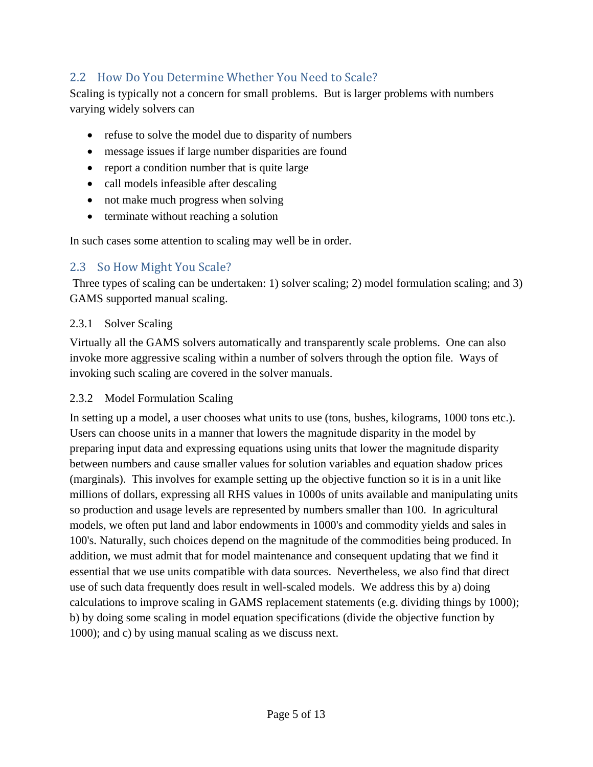## <span id="page-4-0"></span>2.2 How Do You Determine Whether You Need to Scale?

Scaling is typically not a concern for small problems. But is larger problems with numbers varying widely solvers can

- refuse to solve the model due to disparity of numbers
- message issues if large number disparities are found
- report a condition number that is quite large
- call models infeasible after descaling
- not make much progress when solving
- terminate without reaching a solution

In such cases some attention to scaling may well be in order.

## <span id="page-4-1"></span>2.3 So How Might You Scale?

Three types of scaling can be undertaken: 1) solver scaling; 2) model formulation scaling; and 3) GAMS supported manual scaling.

#### <span id="page-4-2"></span>2.3.1 Solver Scaling

Virtually all the GAMS solvers automatically and transparently scale problems. One can also invoke more aggressive scaling within a number of solvers through the option file. Ways of invoking such scaling are covered in the solver manuals.

#### <span id="page-4-3"></span>2.3.2 Model Formulation Scaling

In setting up a model, a user chooses what units to use (tons, bushes, kilograms, 1000 tons etc.). Users can choose units in a manner that lowers the magnitude disparity in the model by preparing input data and expressing equations using units that lower the magnitude disparity between numbers and cause smaller values for solution variables and equation shadow prices (marginals). This involves for example setting up the objective function so it is in a unit like millions of dollars, expressing all RHS values in 1000s of units available and manipulating units so production and usage levels are represented by numbers smaller than 100. In agricultural models, we often put land and labor endowments in 1000's and commodity yields and sales in 100's. Naturally, such choices depend on the magnitude of the commodities being produced. In addition, we must admit that for model maintenance and consequent updating that we find it essential that we use units compatible with data sources. Nevertheless, we also find that direct use of such data frequently does result in well-scaled models. We address this by a) doing calculations to improve scaling in GAMS replacement statements (e.g. dividing things by 1000); b) by doing some scaling in model equation specifications (divide the objective function by 1000); and c) by using manual scaling as we discuss next.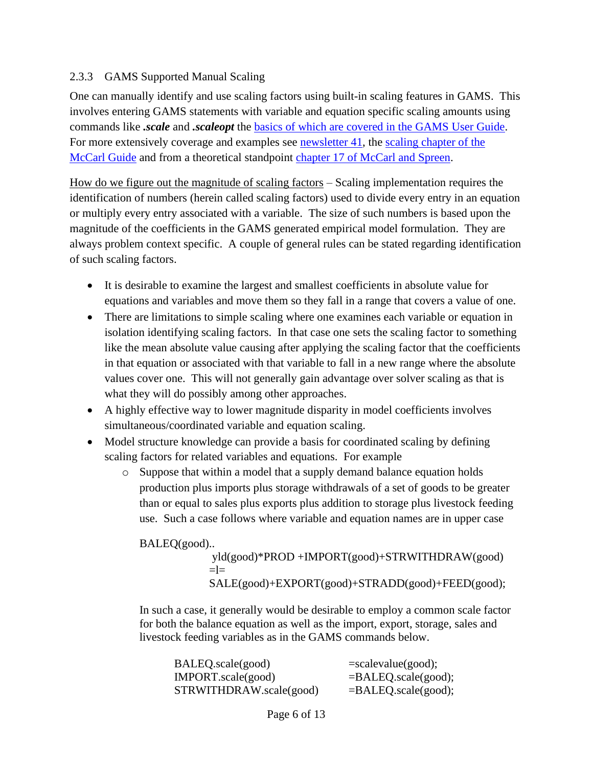#### <span id="page-5-0"></span>2.3.3 GAMS Supported Manual Scaling

One can manually identify and use scaling factors using built-in scaling features in GAMS. This involves entering GAMS statements with variable and equation specific scaling amounts using commands like *.scale* and *.scaleopt* the [basics of which are covered in the GAMS User Guide.](https://www.gams.com/38/docs/UG_LanguageFeatures.html#UG_LanguageFeatures_ModelScaling-TheScaleOption) For more extensively coverage and examples see [newsletter 41,](https://www.gams.com/newsletter/mccarl/archive/mccarl_newsletter_no_41.pdf) the scaling chapter of the [McCarl Guide](https://www.gams.com/mccarlGuide/scaling_gams_models.htm) and from a theoretical standpoint [chapter 17 of McCarl and Spreen.](https://agecon2.tamu.edu/people/faculty/mccarl-bruce/mccspr/new17.pdf)

How do we figure out the magnitude of scaling factors – Scaling implementation requires the identification of numbers (herein called scaling factors) used to divide every entry in an equation or multiply every entry associated with a variable. The size of such numbers is based upon the magnitude of the coefficients in the GAMS generated empirical model formulation. They are always problem context specific. A couple of general rules can be stated regarding identification of such scaling factors.

- It is desirable to examine the largest and smallest coefficients in absolute value for equations and variables and move them so they fall in a range that covers a value of one.
- There are limitations to simple scaling where one examines each variable or equation in isolation identifying scaling factors. In that case one sets the scaling factor to something like the mean absolute value causing after applying the scaling factor that the coefficients in that equation or associated with that variable to fall in a new range where the absolute values cover one. This will not generally gain advantage over solver scaling as that is what they will do possibly among other approaches.
- A highly effective way to lower magnitude disparity in model coefficients involves simultaneous/coordinated variable and equation scaling.
- Model structure knowledge can provide a basis for coordinated scaling by defining scaling factors for related variables and equations. For example
	- o Suppose that within a model that a supply demand balance equation holds production plus imports plus storage withdrawals of a set of goods to be greater than or equal to sales plus exports plus addition to storage plus livestock feeding use. Such a case follows where variable and equation names are in upper case

BALEQ(good).. yld(good)\*PROD +IMPORT(good)+STRWITHDRAW(good)  $=$ SALE(good)+EXPORT(good)+STRADD(good)+FEED(good);

In such a case, it generally would be desirable to employ a common scale factor for both the balance equation as well as the import, export, storage, sales and livestock feeding variables as in the GAMS commands below.

| BALEQ.scale(good)       | $= scalevalue(good);$  |
|-------------------------|------------------------|
| IMPORT.scale(good)      | $=BALEQ$ .scale(good); |
| STRWITHDRAW.scale(good) | $=BALEQ$ .scale(good); |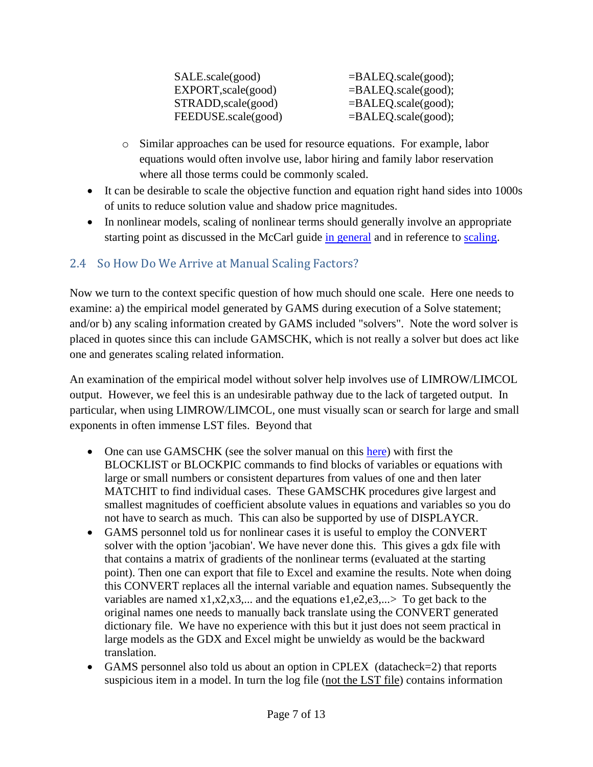| SALE.scale(good)    | $=BALEQ$ .scale(good); |
|---------------------|------------------------|
| EXPORT, scale(good) | $=BALEQ$ .scale(good); |
| STRADD, scale(good) | $=BALEQ$ .scale(good); |
| FEEDUSE.scale(good) | $=BALEQ$ .scale(good); |

- o Similar approaches can be used for resource equations. For example, labor equations would often involve use, labor hiring and family labor reservation where all those terms could be commonly scaled.
- It can be desirable to scale the objective function and equation right hand sides into 1000s of units to reduce solution value and shadow price magnitudes.
- In nonlinear models, scaling of nonlinear terms should generally involve an appropriate starting point as discussed in the McCarl guide [in general](https://www.gams.com/mccarlGuide/starting_points_--_initial_values.htm) and in reference to [scaling.](https://www.gams.com/mccarlGuide/scaling.htm)

## <span id="page-6-0"></span>2.4 So How Do We Arrive at Manual Scaling Factors?

Now we turn to the context specific question of how much should one scale. Here one needs to examine: a) the empirical model generated by GAMS during execution of a Solve statement; and/or b) any scaling information created by GAMS included "solvers". Note the word solver is placed in quotes since this can include GAMSCHK, which is not really a solver but does act like one and generates scaling related information.

An examination of the empirical model without solver help involves use of LIMROW/LIMCOL output. However, we feel this is an undesirable pathway due to the lack of targeted output. In particular, when using LIMROW/LIMCOL, one must visually scan or search for large and small exponents in often immense LST files. Beyond that

- One can use GAMSCHK (see the solver manual on this [here\)](https://www.gams.com/latest/docs/solvers/gamschk/index.html) with first the BLOCKLIST or BLOCKPIC commands to find blocks of variables or equations with large or small numbers or consistent departures from values of one and then later MATCHIT to find individual cases. These GAMSCHK procedures give largest and smallest magnitudes of coefficient absolute values in equations and variables so you do not have to search as much. This can also be supported by use of DISPLAYCR.
- GAMS personnel told us for nonlinear cases it is useful to employ the CONVERT solver with the option 'jacobian'. We have never done this. This gives a gdx file with that contains a matrix of gradients of the nonlinear terms (evaluated at the starting point). Then one can export that file to Excel and examine the results. Note when doing this CONVERT replaces all the internal variable and equation names. Subsequently the variables are named  $x1, x2, x3, \dots$  and the equations  $e1, e2, e3, \dots$  To get back to the original names one needs to manually back translate using the CONVERT generated dictionary file. We have no experience with this but it just does not seem practical in large models as the GDX and Excel might be unwieldy as would be the backward translation.
- GAMS personnel also told us about an option in CPLEX (datacheck=2) that reports suspicious item in a model. In turn the log file (not the LST file) contains information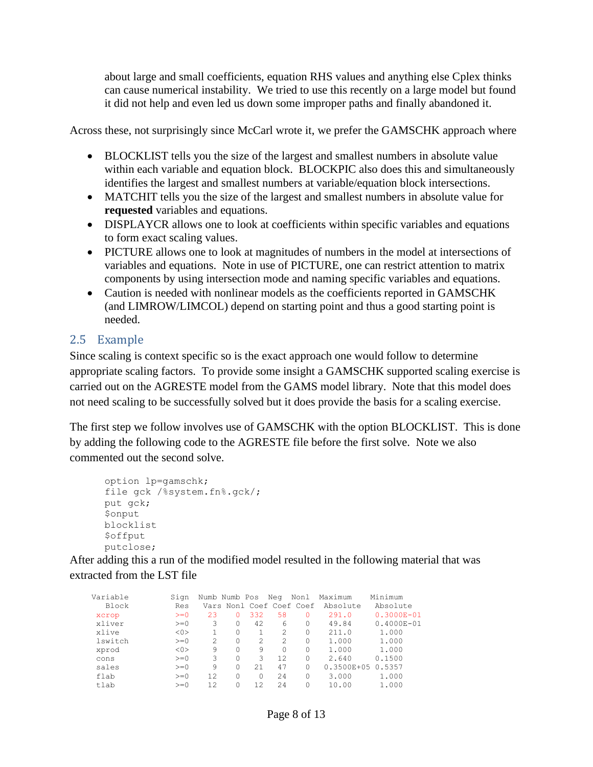about large and small coefficients, equation RHS values and anything else Cplex thinks can cause numerical instability. We tried to use this recently on a large model but found it did not help and even led us down some improper paths and finally abandoned it.

Across these, not surprisingly since McCarl wrote it, we prefer the GAMSCHK approach where

- BLOCKLIST tells you the size of the largest and smallest numbers in absolute value within each variable and equation block. BLOCKPIC also does this and simultaneously identifies the largest and smallest numbers at variable/equation block intersections.
- MATCHIT tells you the size of the largest and smallest numbers in absolute value for **requested** variables and equations.
- DISPLAYCR allows one to look at coefficients within specific variables and equations to form exact scaling values.
- PICTURE allows one to look at magnitudes of numbers in the model at intersections of variables and equations. Note in use of PICTURE, one can restrict attention to matrix components by using intersection mode and naming specific variables and equations.
- Caution is needed with nonlinear models as the coefficients reported in GAMSCHK (and LIMROW/LIMCOL) depend on starting point and thus a good starting point is needed.

## <span id="page-7-0"></span>2.5 Example

Since scaling is context specific so is the exact approach one would follow to determine appropriate scaling factors. To provide some insight a GAMSCHK supported scaling exercise is carried out on the AGRESTE model from the GAMS model library. Note that this model does not need scaling to be successfully solved but it does provide the basis for a scaling exercise.

The first step we follow involves use of GAMSCHK with the option BLOCKLIST. This is done by adding the following code to the AGRESTE file before the first solve. Note we also commented out the second solve.

```
option lp=gamschk;
file gck /%system.fn%.gck/;
put gck;
$onput
blocklist
$offput
putclose;
```
After adding this a run of the modified model resulted in the following material that was extracted from the LST file

| Variable | Sign  | Numb Numb Pos  |          |                | Neg           | Nonl                     | Maximum        | Minimum        |
|----------|-------|----------------|----------|----------------|---------------|--------------------------|----------------|----------------|
| Block    | Res   |                |          |                |               | Vars Nonl Coef Coef Coef | Absolute       | Absolute       |
| xcrop    | $>=0$ | 23             | 0        | 332            | 58            | 0                        | 291.0          | $0.3000E - 01$ |
| xliver   | $>=0$ | 3              | 0        | 42             | 6             | 0                        | 49.84          | $0.4000E - 01$ |
| xlive    | <0>   |                | $\Omega$ |                | $\mathcal{L}$ | 0                        | 211.0          | 1,000          |
| lswitch  | $>=0$ | $\mathfrak{D}$ | 0        | $\mathfrak{D}$ | 2             | 0                        | 1,000          | 1,000          |
| xprod    | < 0   | 9              | O        | 9              | $\Omega$      | 0                        | 1,000          | 1,000          |
| cons     | $>=0$ | 3              | 0        | 3              | 12.           | 0                        | 2.640          | 0.1500         |
| sales    | $>=0$ | 9              | 0        | 2.1            | 47            | 0                        | $0.3500E + 05$ | 0.5357         |
| flab     | $>=0$ | 12             | 0        | 0              | 2.4           | 0                        | 3,000          | 1.000          |
| tlab     | $>=0$ | 12             |          | 12.            | 2.4           | 0                        | 10.00          | 1.000          |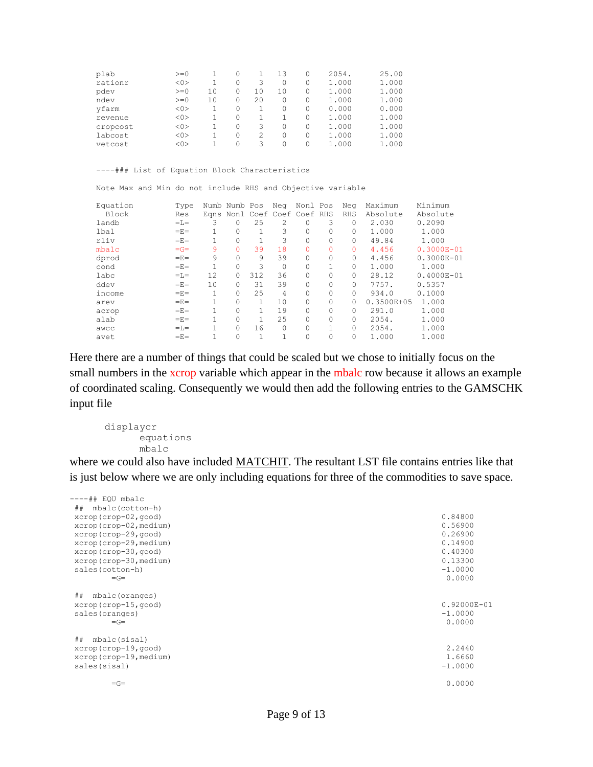| plab     | $>=0$ |    | 0 |    | 13 |   | 2054. | 25.00 |
|----------|-------|----|---|----|----|---|-------|-------|
| rationr  | <0>   |    | 0 | 3  | 0  |   | 1.000 | 1.000 |
| pdev     | $>=0$ | 10 | 0 | 10 | 10 |   | 1.000 | 1.000 |
| ndev     | $>=0$ | 10 | 0 | 20 | 0  |   | 1.000 | 1.000 |
| yfarm    | <0>   |    | 0 |    | 0  | 0 | 0.000 | 0.000 |
| revenue  | <0>   |    | 0 |    |    | 0 | 1.000 | 1.000 |
| cropcost | <0>   |    | 0 | 3  | 0  | 0 | 1,000 | 1.000 |
| labcost  | < 0   |    | 0 | 2  | 0  |   | 1,000 | 1.000 |
| vetcost  | < 0   |    | 0 | 3  |    |   | 1.000 | 1.000 |

----### List of Equation Block Characteristics

Note Max and Min do not include RHS and Objective variable

| Equation | Type  |    | Numb Numb Pos                |     | Neg      | Nonl Pos |   | Neg        | Maximum        | Minimum        |
|----------|-------|----|------------------------------|-----|----------|----------|---|------------|----------------|----------------|
| Block    | Res   |    | Egns Nonl Coef Coef Coef RHS |     |          |          |   | <b>RHS</b> | Absolute       | Absolute       |
| landb    | $=L=$ | 3  | $\Omega$                     | 25  | 2        |          | 3 | $\Omega$   | 2.030          | 0.2090         |
| lbal     | $=E=$ |    | 0                            |     | 3        | 0        | 0 | $\Omega$   | 1,000          | 1,000          |
| rliv     | $=E=$ |    | $\Omega$                     |     | 3        |          | 0 | $\Omega$   | 49.84          | 1,000          |
| mbalc    | $=G=$ | 9  |                              | 39  | 18       | 0        | 0 | $\Omega$   | 4.456          | $0.3000E - 01$ |
| dprod    | $=E=$ | 9  | O                            | 9   | 39       | 0        | 0 | $\Omega$   | 4.456          | $0.3000E - 01$ |
| cond     | $=E=$ | 1  | $\Omega$                     | 3   | 0        | 0        |   | $\Omega$   | 1,000          | 1,000          |
| labc     | $=L=$ | 12 | $\Omega$                     | 312 | 36       | 0        | 0 | $\Omega$   | 28.12          | $0.4000E - 01$ |
| ddev     | $=E=$ | 10 | $\Omega$                     | 31  | 39       | 0        | 0 | $\Omega$   | 7757.          | 0.5357         |
| income   | $=E=$ | 1  |                              | 25  | 4        | 0        | 0 | $\Omega$   | 934.0          | 0.1000         |
| arev     | $=E=$ |    | $\Omega$                     |     | 10       | 0        | 0 | $\Omega$   | $0.3500E + 05$ | 1,000          |
| acrop    | $=E=$ |    |                              |     | 19       | $\Omega$ | 0 | $\Omega$   | 291.0          | 1,000          |
| alab     | $=E=$ |    | $\Omega$                     |     | 25       | 0        | 0 | $\Omega$   | 2054.          | 1.000          |
| awcc     | $=L=$ |    | $\Omega$                     | 16  | $\Omega$ | 0        | 1 | $\Omega$   | 2054.          | 1.000          |
| avet     | $=E=$ |    |                              |     |          |          | 0 | $\Omega$   | 1.000          | 1.000          |

Here there are a number of things that could be scaled but we chose to initially focus on the small numbers in the **xcrop** variable which appear in the mbalc row because it allows an example of coordinated scaling. Consequently we would then add the following entries to the GAMSCHK input file

```
displaycr
     equations
     mbalc
```
where we could also have included MATCHIT. The resultant LST file contains entries like that is just below where we are only including equations for three of the commodities to save space.

| ----## EQU mbalc        |                 |
|-------------------------|-----------------|
| ## mbalc(cotton-h)      |                 |
| xcrop(crop-02,qood)     | 0.84800         |
| xcrop(crop-02, medium)  | 0.56900         |
| xcrop(crop-29, qood)    | 0.26900         |
| xcrop(crop-29, medium)  | 0.14900         |
| xcrop(crop-30, qood)    | 0.40300         |
| xcrop (crop-30, medium) | 0.13300         |
| sales (cotton-h)        | $-1.0000$       |
| $=\mathsf{G}$           | 0.0000          |
|                         |                 |
| ##<br>mbalc(oranges)    |                 |
| xcrop(crop-15, good)    | $0.92000E - 01$ |
| sales (oranges)         | $-1.0000$       |
| $=\mathsf{G}$           | 0.0000          |
|                         |                 |
| ##<br>mbalc(sisal)      |                 |
| xcrop(crop-19, qood)    | 2.2440          |
| xcrop(crop-19, medium)  | 1.6660          |
| sales (sisal)           | $-1.0000$       |
|                         |                 |
| $=G=$                   | 0.0000          |
|                         |                 |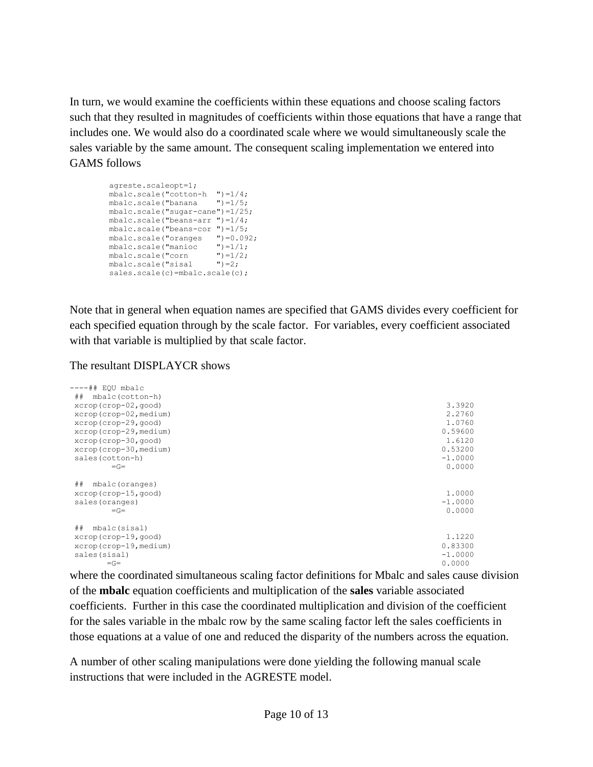In turn, we would examine the coefficients within these equations and choose scaling factors such that they resulted in magnitudes of coefficients within those equations that have a range that includes one. We would also do a coordinated scale where we would simultaneously scale the sales variable by the same amount. The consequent scaling implementation we entered into GAMS follows

| agreste.scaleopt=1;                   |                     |
|---------------------------------------|---------------------|
| mbalc.scale("cotton-h                 | $\cdot$ ") = 1/4;   |
| mbalc.scale("banana                   | $") = 1/5;$         |
| $mbalc.scale("sugar-cane") = 1/25;$   |                     |
| mbalc.scale("beans-arr                | $\cdot$ ") = 1/4;   |
| mbalc.scale("beans-cor                | $'$ ) = 1/5;        |
| mbalc.scale("oranges                  | $\cdot$ ") = 0.092; |
| mbalc.scale("manioc                   | $") = 1/1;$         |
| mbalc.scale("corn                     | $") = 1/2;$         |
| mbalc.scale("sisal                    | $"$ ) = 2;          |
| $sales.sizeale(c) = mbalc.sizele(c);$ |                     |

Note that in general when equation names are specified that GAMS divides every coefficient for each specified equation through by the scale factor. For variables, every coefficient associated with that variable is multiplied by that scale factor.

#### The resultant DISPLAYCR shows

| ----## EOU mbalc           |           |
|----------------------------|-----------|
| mbalc(cotton-h)<br>##      |           |
| xcrop(crop-02, good)       | 3.3920    |
| xcrop(crop-02, medium)     | 2.2760    |
| xcrop(crop-29, good)       | 1.0760    |
| xcrop (crop-29, medium)    | 0.59600   |
| xcrop(crop-30, good)       | 1.6120    |
| xcrop (crop-30, medium)    | 0.53200   |
| sales (cotton-h)           | $-1.0000$ |
| $=\mathsf{G}$              | 0.0000    |
|                            |           |
| $\#$<br>mbalc(oranges)     |           |
| xcrop (crop-15, good)      | 1,0000    |
| sales (oranges)            | $-1.0000$ |
| $=\mathsf{G}$              | 0.0000    |
|                            |           |
| ##<br>mbalc(sisal)         |           |
| $x$ crop $(crop-19, qood)$ | 1.1220    |
| xcrop (crop-19, medium)    | 0.83300   |
| sales (sisal)              | $-1.0000$ |
| $=G=$                      | 0.0000    |

where the coordinated simultaneous scaling factor definitions for Mbalc and sales cause division of the **mbalc** equation coefficients and multiplication of the **sales** variable associated coefficients. Further in this case the coordinated multiplication and division of the coefficient for the sales variable in the mbalc row by the same scaling factor left the sales coefficients in those equations at a value of one and reduced the disparity of the numbers across the equation.

A number of other scaling manipulations were done yielding the following manual scale instructions that were included in the AGRESTE model.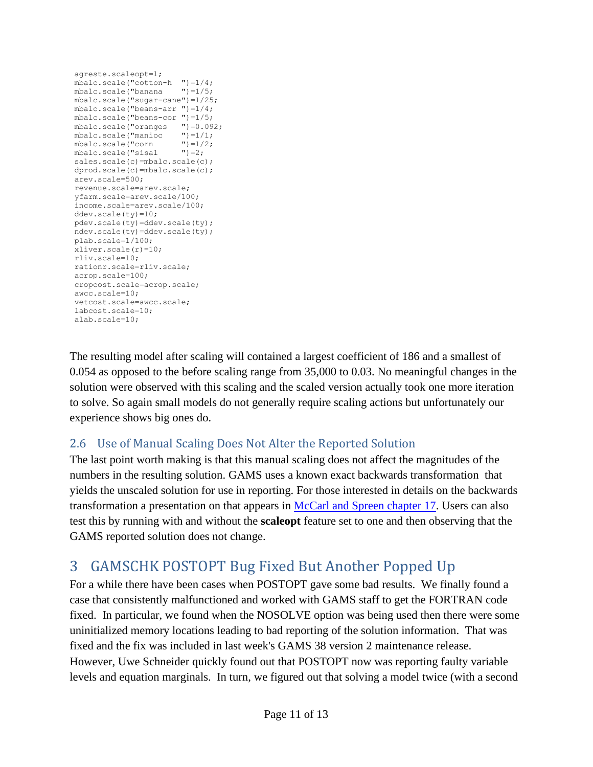```
agreste.scaleopt=1;
 mbalc.scale("cotton-h ")=1/4;
 mbalc.scale("banana ")=1/5;
mbalc.scale("sugar-cane")=1/25;
mbalc.scale("beans-arr ")=1/4;
mbalc.scale("beans-cor ")=1/5;
mbalc.scale("oranges ")=0.092;<br>mbalc.scale("manioc ")=1/1;
mbalc.scale("manioc ")=1/1;<br>mbalc.scale("corn ")=1/2;mbalc.scale("corn ")=1/<br>mbalc.scale("sisal ")=2;
mbalc.scale("sisal
sales.scale(c)=mbalc.scale(c);
dprod.scale(c)=mbalc.scale(c);
arev.scale=500;
revenue.scale=arev.scale;
yfarm.scale=arev.scale/100;
income.scale=arev.scale/100;
ddev.scale(ty)=10;
pdev.scale(ty)=ddev.scale(ty);
ndev.scale(ty)=ddev.scale(ty);
plab.scale=1/100;
xliver.scale(r)=10;
rliv.scale=10;
rationr.scale=rliv.scale;
acrop.scale=100;
cropcost.scale=acrop.scale;
awcc.scale=10;
vetcost.scale=awcc.scale;
labcost.scale=10;
alab.scale=10;
```
The resulting model after scaling will contained a largest coefficient of 186 and a smallest of 0.054 as opposed to the before scaling range from 35,000 to 0.03. No meaningful changes in the solution were observed with this scaling and the scaled version actually took one more iteration to solve. So again small models do not generally require scaling actions but unfortunately our experience shows big ones do.

## <span id="page-10-0"></span>2.6 Use of Manual Scaling Does Not Alter the Reported Solution

The last point worth making is that this manual scaling does not affect the magnitudes of the numbers in the resulting solution. GAMS uses a known exact backwards transformation that yields the unscaled solution for use in reporting. For those interested in details on the backwards transformation a presentation on that appears in [McCarl and Spreen chapter 17.](https://agecon2.tamu.edu/people/faculty/mccarl-bruce/mccspr/new17.pdf) Users can also test this by running with and without the **scaleopt** feature set to one and then observing that the GAMS reported solution does not change.

## <span id="page-10-1"></span>3 GAMSCHK POSTOPT Bug Fixed But Another Popped Up

For a while there have been cases when POSTOPT gave some bad results. We finally found a case that consistently malfunctioned and worked with GAMS staff to get the FORTRAN code fixed. In particular, we found when the NOSOLVE option was being used then there were some uninitialized memory locations leading to bad reporting of the solution information. That was fixed and the fix was included in last week's GAMS 38 version 2 maintenance release. However, Uwe Schneider quickly found out that POSTOPT now was reporting faulty variable levels and equation marginals. In turn, we figured out that solving a model twice (with a second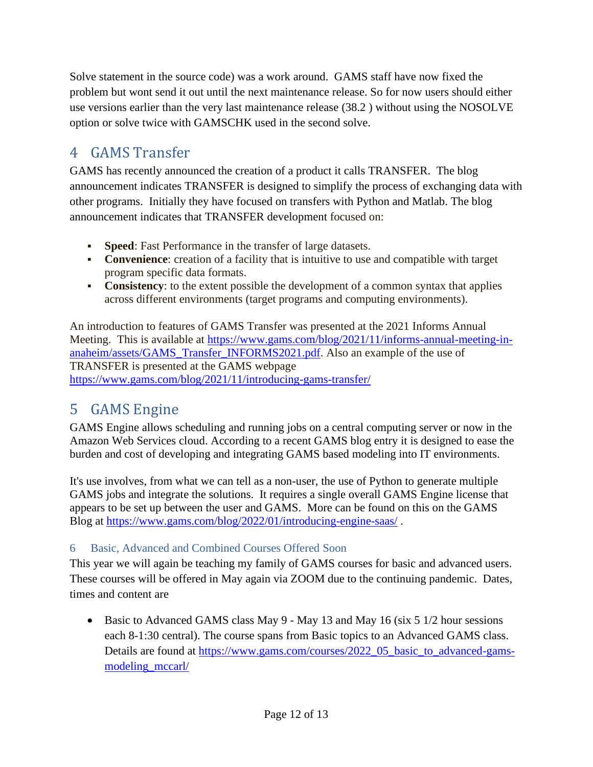Solve statement in the source code) was a work around. GAMS staff have now fixed the problem but wont send it out until the next maintenance release. So for now users should either use versions earlier than the very last maintenance release (38.2 ) without using the NOSOLVE option or solve twice with GAMSCHK used in the second solve.

## <span id="page-11-0"></span>4 GAMS Transfer

GAMS has recently announced the creation of a product it calls TRANSFER. The blog announcement indicates TRANSFER is designed to simplify the process of exchanging data with other programs. Initially they have focused on transfers with Python and Matlab. The blog announcement indicates that TRANSFER development focused on:

- **Speed:** Fast Performance in the transfer of large datasets.
- **Convenience**: creation of a facility that is intuitive to use and compatible with target program specific data formats.
- **Consistency**: to the extent possible the development of a common syntax that applies across different environments (target programs and computing environments).

An introduction to features of GAMS Transfer was presented at the 2021 Informs Annual Meeting. This is available at [https://www.gams.com/blog/2021/11/informs-annual-meeting-in](https://www.gams.com/blog/2021/11/informs-annual-meeting-in-anaheim/assets/GAMS_Transfer_INFORMS2021.pdf)[anaheim/assets/GAMS\\_Transfer\\_INFORMS2021.pdf.](https://www.gams.com/blog/2021/11/informs-annual-meeting-in-anaheim/assets/GAMS_Transfer_INFORMS2021.pdf) Also an example of the use of TRANSFER is presented at the GAMS webpage <https://www.gams.com/blog/2021/11/introducing-gams-transfer/>

## <span id="page-11-1"></span>5 GAMS Engine

GAMS Engine allows scheduling and running jobs on a central computing server or now in the Amazon Web Services cloud. According to a recent GAMS blog entry it is designed to ease the burden and cost of developing and integrating GAMS based modeling into IT environments.

It's use involves, from what we can tell as a non-user, the use of Python to generate multiple GAMS jobs and integrate the solutions. It requires a single overall GAMS Engine license that appears to be set up between the user and GAMS. More can be found on this on the GAMS Blog at<https://www.gams.com/blog/2022/01/introducing-engine-saas/> .

## <span id="page-11-2"></span>6 Basic, Advanced and Combined Courses Offered Soon

This year we will again be teaching my family of GAMS courses for basic and advanced users. These courses will be offered in May again via ZOOM due to the continuing pandemic. Dates, times and content are

• Basic to Advanced GAMS class May 9 - May 13 and May 16 (six 5 1/2 hour sessions each 8-1:30 central). The course spans from Basic topics to an Advanced GAMS class. Details are found at [https://www.gams.com/courses/2022\\_05\\_basic\\_to\\_advanced-gams](https://www.gams.com/courses/2022_05_basic_to_advanced-gams-modeling_mccarl/)[modeling\\_mccarl/](https://www.gams.com/courses/2022_05_basic_to_advanced-gams-modeling_mccarl/)